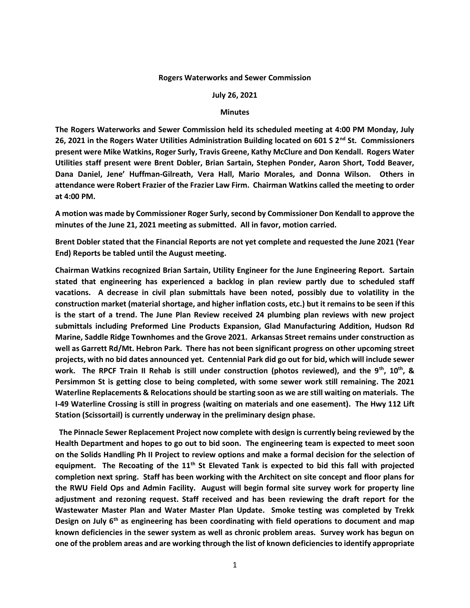## **Rogers Waterworks and Sewer Commission**

## **July 26, 2021**

## **Minutes**

**The Rogers Waterworks and Sewer Commission held its scheduled meeting at 4:00 PM Monday, July 26, 2021 in the Rogers Water Utilities Administration Building located on 601 S 2nd St. Commissioners present were Mike Watkins, Roger Surly, Travis Greene, Kathy McClure and Don Kendall. Rogers Water Utilities staff present were Brent Dobler, Brian Sartain, Stephen Ponder, Aaron Short, Todd Beaver, Dana Daniel, Jene' Huffman-Gilreath, Vera Hall, Mario Morales, and Donna Wilson. Others in attendance were Robert Frazier of the Frazier Law Firm. Chairman Watkins called the meeting to order at 4:00 PM.**

**A motion was made by Commissioner Roger Surly, second by Commissioner Don Kendall to approve the minutes of the June 21, 2021 meeting as submitted. All in favor, motion carried.**

**Brent Dobler stated that the Financial Reports are not yet complete and requested the June 2021 (Year End) Reports be tabled until the August meeting.**

**Chairman Watkins recognized Brian Sartain, Utility Engineer for the June Engineering Report. Sartain stated that engineering has experienced a backlog in plan review partly due to scheduled staff vacations. A decrease in civil plan submittals have been noted, possibly due to volatility in the construction market (material shortage, and higher inflation costs, etc.) but it remains to be seen if this is the start of a trend. The June Plan Review received 24 plumbing plan reviews with new project submittals including Preformed Line Products Expansion, Glad Manufacturing Addition, Hudson Rd Marine, Saddle Ridge Townhomes and the Grove 2021. Arkansas Street remains under construction as well as Garrett Rd/Mt. Hebron Park. There has not been significant progress on other upcoming street projects, with no bid dates announced yet. Centennial Park did go out for bid, which will include sewer work. The RPCF Train II Rehab is still under construction (photos reviewed), and the 9th, 10th, & Persimmon St is getting close to being completed, with some sewer work still remaining. The 2021 Waterline Replacements & Relocations should be starting soon as we are still waiting on materials. The I-49 Waterline Crossing is still in progress (waiting on materials and one easement). The Hwy 112 Lift Station (Scissortail) is currently underway in the preliminary design phase.**

 **The Pinnacle Sewer Replacement Project now complete with design is currently being reviewed by the Health Department and hopes to go out to bid soon. The engineering team is expected to meet soon on the Solids Handling Ph II Project to review options and make a formal decision for the selection of equipment. The Recoating of the 11th St Elevated Tank is expected to bid this fall with projected completion next spring. Staff has been working with the Architect on site concept and floor plans for the RWU Field Ops and Admin Facility. August will begin formal site survey work for property line adjustment and rezoning request. Staff received and has been reviewing the draft report for the Wastewater Master Plan and Water Master Plan Update. Smoke testing was completed by Trekk Design on July 6th as engineering has been coordinating with field operations to document and map known deficiencies in the sewer system as well as chronic problem areas. Survey work has begun on one of the problem areas and are working through the list of known deficiencies to identify appropriate**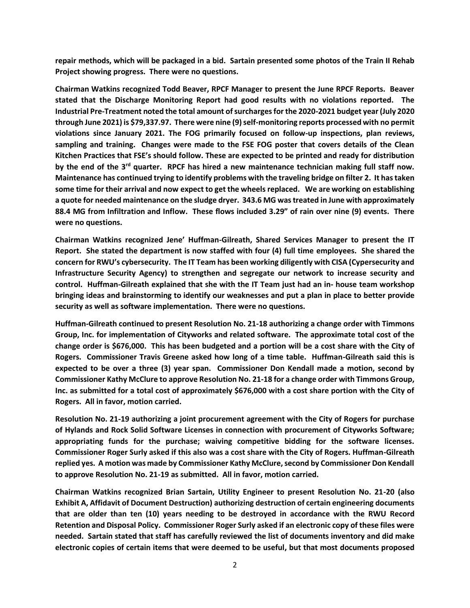**repair methods, which will be packaged in a bid. Sartain presented some photos of the Train II Rehab Project showing progress. There were no questions.**

**Chairman Watkins recognized Todd Beaver, RPCF Manager to present the June RPCF Reports. Beaver stated that the Discharge Monitoring Report had good results with no violations reported. The Industrial Pre-Treatment noted the total amount of surcharges for the 2020-2021 budget year (July 2020 through June 2021) is \$79,337.97. There were nine (9) self-monitoring reports processed with no permit violations since January 2021. The FOG primarily focused on follow-up inspections, plan reviews, sampling and training. Changes were made to the FSE FOG poster that covers details of the Clean Kitchen Practices that FSE's should follow. These are expected to be printed and ready for distribution by the end of the 3rd quarter. RPCF has hired a new maintenance technician making full staff now. Maintenance has continued trying to identify problems with the traveling bridge on filter 2. It has taken some time for their arrival and now expect to get the wheels replaced. We are working on establishing a quote for needed maintenance on the sludge dryer. 343.6 MG was treated in June with approximately 88.4 MG from Infiltration and Inflow. These flows included 3.29" of rain over nine (9) events. There were no questions.**

**Chairman Watkins recognized Jene' Huffman-Gilreath, Shared Services Manager to present the IT Report. She stated the department is now staffed with four (4) full time employees. She shared the concern for RWU's cybersecurity. The IT Team has been working diligently with CISA (Cypersecurity and Infrastructure Security Agency) to strengthen and segregate our network to increase security and control. Huffman-Gilreath explained that she with the IT Team just had an in- house team workshop bringing ideas and brainstorming to identify our weaknesses and put a plan in place to better provide security as well as software implementation. There were no questions.**

**Huffman-Gilreath continued to present Resolution No. 21-18 authorizing a change order with Timmons Group, Inc. for implementation of Cityworks and related software. The approximate total cost of the change order is \$676,000. This has been budgeted and a portion will be a cost share with the City of Rogers. Commissioner Travis Greene asked how long of a time table. Huffman-Gilreath said this is expected to be over a three (3) year span. Commissioner Don Kendall made a motion, second by Commissioner Kathy McClure to approve Resolution No. 21-18 for a change order with Timmons Group, Inc. as submitted for a total cost of approximately \$676,000 with a cost share portion with the City of Rogers. All in favor, motion carried.**

**Resolution No. 21-19 authorizing a joint procurement agreement with the City of Rogers for purchase of Hylands and Rock Solid Software Licenses in connection with procurement of Cityworks Software; appropriating funds for the purchase; waiving competitive bidding for the software licenses. Commissioner Roger Surly asked if this also was a cost share with the City of Rogers. Huffman-Gilreath replied yes. A motion was made by Commissioner Kathy McClure, second by Commissioner Don Kendall to approve Resolution No. 21-19 as submitted. All in favor, motion carried.**

**Chairman Watkins recognized Brian Sartain, Utility Engineer to present Resolution No. 21-20 (also Exhibit A, Affidavit of Document Destruction) authorizing destruction of certain engineering documents that are older than ten (10) years needing to be destroyed in accordance with the RWU Record Retention and Disposal Policy. Commissioner Roger Surly asked if an electronic copy of these files were needed. Sartain stated that staff has carefully reviewed the list of documents inventory and did make electronic copies of certain items that were deemed to be useful, but that most documents proposed**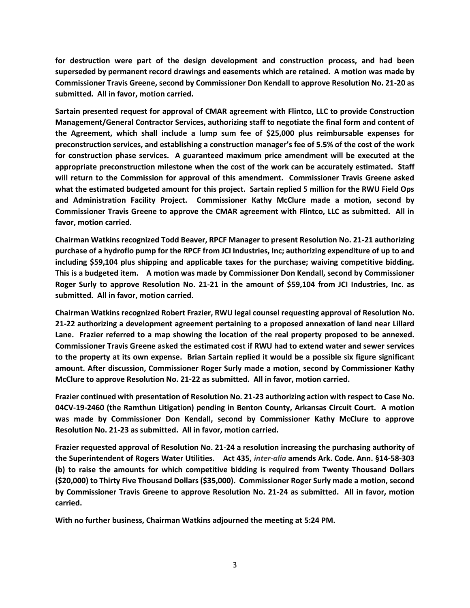**for destruction were part of the design development and construction process, and had been superseded by permanent record drawings and easements which are retained. A motion was made by Commissioner Travis Greene, second by Commissioner Don Kendall to approve Resolution No. 21-20 as submitted. All in favor, motion carried.**

**Sartain presented request for approval of CMAR agreement with Flintco, LLC to provide Construction Management/General Contractor Services, authorizing staff to negotiate the final form and content of the Agreement, which shall include a lump sum fee of \$25,000 plus reimbursable expenses for preconstruction services, and establishing a construction manager's fee of 5.5% of the cost of the work for construction phase services. A guaranteed maximum price amendment will be executed at the appropriate preconstruction milestone when the cost of the work can be accurately estimated. Staff will return to the Commission for approval of this amendment. Commissioner Travis Greene asked what the estimated budgeted amount for this project. Sartain replied 5 million for the RWU Field Ops and Administration Facility Project. Commissioner Kathy McClure made a motion, second by Commissioner Travis Greene to approve the CMAR agreement with Flintco, LLC as submitted. All in favor, motion carried.**

**Chairman Watkins recognized Todd Beaver, RPCF Manager to present Resolution No. 21-21 authorizing purchase of a hydroflo pump for the RPCF from JCI Industries, Inc; authorizing expenditure of up to and including \$59,104 plus shipping and applicable taxes for the purchase; waiving competitive bidding. This is a budgeted item. A motion was made by Commissioner Don Kendall, second by Commissioner Roger Surly to approve Resolution No. 21-21 in the amount of \$59,104 from JCI Industries, Inc. as submitted. All in favor, motion carried.**

**Chairman Watkins recognized Robert Frazier, RWU legal counsel requesting approval of Resolution No. 21-22 authorizing a development agreement pertaining to a proposed annexation of land near Lillard Lane. Frazier referred to a map showing the location of the real property proposed to be annexed. Commissioner Travis Greene asked the estimated cost if RWU had to extend water and sewer services to the property at its own expense. Brian Sartain replied it would be a possible six figure significant amount. After discussion, Commissioner Roger Surly made a motion, second by Commissioner Kathy McClure to approve Resolution No. 21-22 as submitted. All in favor, motion carried.**

**Frazier continued with presentation of Resolution No. 21-23 authorizing action with respect to Case No. 04CV-19-2460 (the Ramthun Litigation) pending in Benton County, Arkansas Circuit Court. A motion was made by Commissioner Don Kendall, second by Commissioner Kathy McClure to approve Resolution No. 21-23 as submitted. All in favor, motion carried.**

**Frazier requested approval of Resolution No. 21-24 a resolution increasing the purchasing authority of the Superintendent of Rogers Water Utilities. Act 435,** *inter-alia* **amends Ark. Code. Ann. §14-58-303 (b) to raise the amounts for which competitive bidding is required from Twenty Thousand Dollars (\$20,000) to Thirty Five Thousand Dollars (\$35,000). Commissioner Roger Surly made a motion, second by Commissioner Travis Greene to approve Resolution No. 21-24 as submitted. All in favor, motion carried.** 

**With no further business, Chairman Watkins adjourned the meeting at 5:24 PM.**